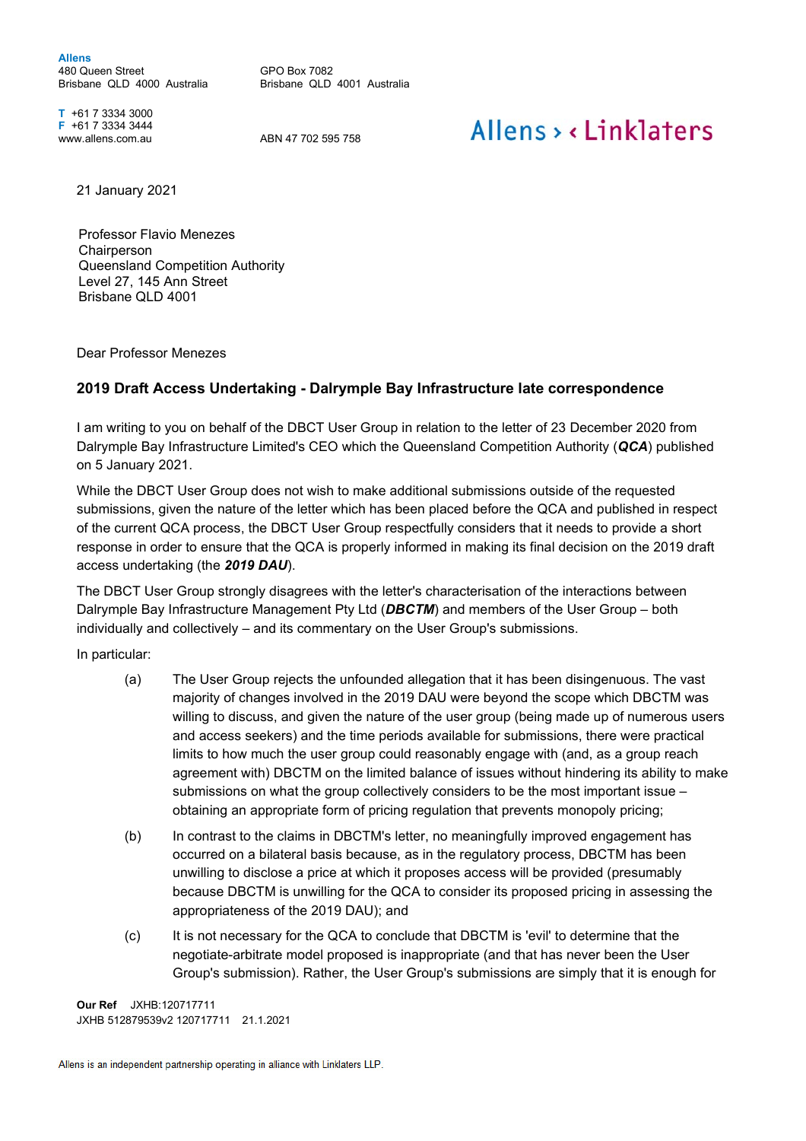**Allens**  480 Queen Street Brisbane QLD 4000 Australia

GPO Box 7082 Brisbane QLD 4001 Australia

**T** +61 7 3334 3000 **F** +61 7 3334 3444

www.allens.com.au ABN 47 702 595 758

## Allens > <linklaters

21 January 2021

Professor Flavio Menezes **Chairperson** Queensland Competition Authority Level 27, 145 Ann Street Brisbane QLD 4001

Dear Professor Menezes

## **2019 Draft Access Undertaking - Dalrymple Bay Infrastructure late correspondence**

I am writing to you on behalf of the DBCT User Group in relation to the letter of 23 December 2020 from Dalrymple Bay Infrastructure Limited's CEO which the Queensland Competition Authority (*QCA*) published on 5 January 2021.

While the DBCT User Group does not wish to make additional submissions outside of the requested submissions, given the nature of the letter which has been placed before the QCA and published in respect of the current QCA process, the DBCT User Group respectfully considers that it needs to provide a short response in order to ensure that the QCA is properly informed in making its final decision on the 2019 draft access undertaking (the *2019 DAU*).

The DBCT User Group strongly disagrees with the letter's characterisation of the interactions between Dalrymple Bay Infrastructure Management Pty Ltd (*DBCTM*) and members of the User Group – both individually and collectively – and its commentary on the User Group's submissions.

In particular:

- (a) The User Group rejects the unfounded allegation that it has been disingenuous. The vast majority of changes involved in the 2019 DAU were beyond the scope which DBCTM was willing to discuss, and given the nature of the user group (being made up of numerous users and access seekers) and the time periods available for submissions, there were practical limits to how much the user group could reasonably engage with (and, as a group reach agreement with) DBCTM on the limited balance of issues without hindering its ability to make submissions on what the group collectively considers to be the most important issue – obtaining an appropriate form of pricing regulation that prevents monopoly pricing;
- (b) In contrast to the claims in DBCTM's letter, no meaningfully improved engagement has occurred on a bilateral basis because, as in the regulatory process, DBCTM has been unwilling to disclose a price at which it proposes access will be provided (presumably because DBCTM is unwilling for the QCA to consider its proposed pricing in assessing the appropriateness of the 2019 DAU); and
- (c) It is not necessary for the QCA to conclude that DBCTM is 'evil' to determine that the negotiate-arbitrate model proposed is inappropriate (and that has never been the User Group's submission). Rather, the User Group's submissions are simply that it is enough for

**Our Ref** JXHB:120717711 JXHB 512879539v2 120717711 21.1.2021